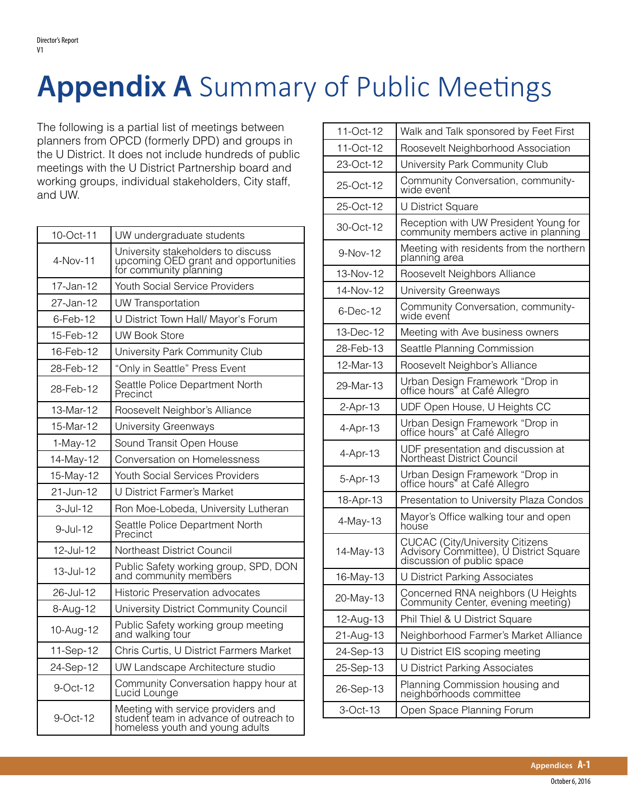## **Appendix A** Summary of Public Meetings

The following is a partial list of meetings between planners from OPCD (formerly DPD) and groups in the U District. It does not include hundreds of public meetings with the U District Partnership board and working groups, individual stakeholders, City staff, and UW.

| 10-Oct-11  | UW undergraduate students                                                                                       |
|------------|-----------------------------------------------------------------------------------------------------------------|
| 4-Nov-11   | University stakeholders to discuss<br>upcoming OED grant and opportunities<br>for community planning            |
| 17-Jan-12  | Youth Social Service Providers                                                                                  |
| 27-Jan-12  | <b>UW Transportation</b>                                                                                        |
| 6-Feb-12   | U District Town Hall/ Mayor's Forum                                                                             |
| 15-Feb-12  | <b>UW Book Store</b>                                                                                            |
| 16-Feb-12  | University Park Community Club                                                                                  |
| 28-Feb-12  | "Only in Seattle" Press Event                                                                                   |
| 28-Feb-12  | Seattle Police Department North<br>Precinct                                                                     |
| 13-Mar-12  | Roosevelt Neighbor's Alliance                                                                                   |
| 15-Mar-12  | University Greenways                                                                                            |
| $1-May-12$ | Sound Transit Open House                                                                                        |
| 14-May-12  | Conversation on Homelessness                                                                                    |
| 15-May-12  | <b>Youth Social Services Providers</b>                                                                          |
| 21-Jun-12  | U District Farmer's Market                                                                                      |
| 3-Jul-12   | Ron Moe-Lobeda, University Lutheran                                                                             |
| 9-Jul-12   | Seattle Police Department North<br>Precinct                                                                     |
| 12-Jul-12  | Northeast District Council                                                                                      |
| 13-Jul-12  | Public Safety working group, SPD, DON<br>and community members                                                  |
| 26-Jul-12  | <b>Historic Preservation advocates</b>                                                                          |
| 8-Aug-12   | University District Community Council                                                                           |
| 10-Aug-12  | Public Safety working group meeting<br>and walking tour                                                         |
| 11-Sep-12  | Chris Curtis, U District Farmers Market                                                                         |
| 24-Sep-12  | UW Landscape Architecture studio                                                                                |
| 9-Oct-12   | Community Conversation happy hour at<br>Lucid Lounge                                                            |
| 9-Oct-12   | Meeting with service providers and<br>student team in advance of outreach to<br>homeless youth and young adults |

| 11-Oct-12  | Walk and Talk sponsored by Feet First                                                                   |
|------------|---------------------------------------------------------------------------------------------------------|
| 11-Oct-12  | Roosevelt Neighborhood Association                                                                      |
| 23-Oct-12  | University Park Community Club                                                                          |
| 25-Oct-12  | Community Conversation, community-<br>wide event                                                        |
| 25-Oct-12  | U District Square                                                                                       |
| 30-Oct-12  | Reception with UW President Young for<br>community members active in planning                           |
| 9-Nov-12   | Meeting with residents from the northern<br>planning area                                               |
| 13-Nov-12  | Roosevelt Neighbors Alliance                                                                            |
| 14-Nov-12  | University Greenways                                                                                    |
| 6-Dec-12   | Community Conversation, community-<br>wide event                                                        |
| 13-Dec-12  | Meeting with Ave business owners                                                                        |
| 28-Feb-13  | Seattle Planning Commission                                                                             |
| 12-Mar-13  | Roosevelt Neighbor's Alliance                                                                           |
| 29-Mar-13  | Urban Design Framework "Drop in<br>office hours" at Café Allegro                                        |
| $2-Apr-13$ | UDF Open House, U Heights CC                                                                            |
| 4-Apr-13   | Urban Design Framework "Drop in<br>office hours" at Café Allegro                                        |
| 4-Apr-13   | UDF presentation and discussion at<br>Northeast District Council                                        |
| 5-Apr-13   | Urban Design Framework "Drop in<br>office hours" at Café Allegro                                        |
| 18-Apr-13  | Presentation to University Plaza Condos                                                                 |
| 4-May-13   | Mayor's Office walking tour and open<br>house                                                           |
| 14-May-13  | CUCAC (City/University Citizens<br>Advisory Committee), U District Square<br>discussion of public space |
| 16-May-13  | U District Parking Associates                                                                           |
| 20-May-13  | Concerned RNA neighbors (U Heights<br>Community Center, evening meeting)                                |
| 12-Aug-13  | Phil Thiel & U District Square                                                                          |
| 21-Aug-13  | Neighborhood Farmer's Market Alliance                                                                   |
| 24-Sep-13  | U District EIS scoping meeting                                                                          |
| 25-Sep-13  | U District Parking Associates                                                                           |
| 26-Sep-13  | Planning Commission housing and<br>neighborhoods committee                                              |
| 3-Oct-13   | Open Space Planning Forum                                                                               |
|            |                                                                                                         |